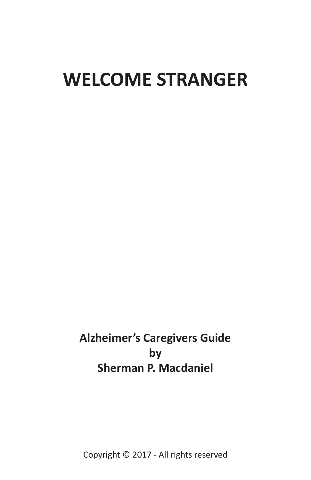# **WELCOME STRANGER**

**Alzheimer's Caregivers Guide by Sherman P. Macdaniel**

Copyright © 2017 - All rights reserved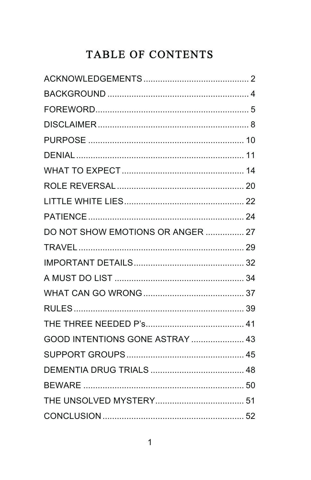# TABLE OF CONTENTS

| DO NOT SHOW EMOTIONS OR ANGER  27 |  |
|-----------------------------------|--|
|                                   |  |
|                                   |  |
|                                   |  |
|                                   |  |
|                                   |  |
|                                   |  |
| GOOD INTENTIONS GONE ASTRAY  43   |  |
|                                   |  |
|                                   |  |
|                                   |  |
|                                   |  |
|                                   |  |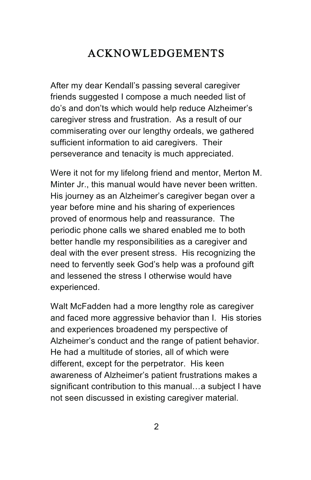#### ACKNOWLEDGEMENTS

After my dear Kendall's passing several caregiver friends suggested I compose a much needed list of do's and don'ts which would help reduce Alzheimer's caregiver stress and frustration. As a result of our commiserating over our lengthy ordeals, we gathered sufficient information to aid caregivers. Their perseverance and tenacity is much appreciated.

Were it not for my lifelong friend and mentor, Merton M. Minter Jr., this manual would have never been written. His journey as an Alzheimer's caregiver began over a year before mine and his sharing of experiences proved of enormous help and reassurance. The periodic phone calls we shared enabled me to both better handle my responsibilities as a caregiver and deal with the ever present stress. His recognizing the need to fervently seek God's help was a profound gift and lessened the stress I otherwise would have experienced.

Walt McFadden had a more lengthy role as caregiver and faced more aggressive behavior than I. His stories and experiences broadened my perspective of Alzheimer's conduct and the range of patient behavior. He had a multitude of stories, all of which were different, except for the perpetrator. His keen awareness of Alzheimer's patient frustrations makes a significant contribution to this manual…a subject I have not seen discussed in existing caregiver material.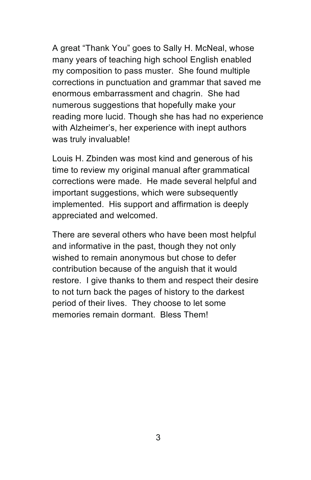A great "Thank You" goes to Sally H. McNeal, whose many years of teaching high school English enabled my composition to pass muster. She found multiple corrections in punctuation and grammar that saved me enormous embarrassment and chagrin. She had numerous suggestions that hopefully make your reading more lucid. Though she has had no experience with Alzheimer's, her experience with inept authors was truly invaluable!

Louis H. Zbinden was most kind and generous of his time to review my original manual after grammatical corrections were made. He made several helpful and important suggestions, which were subsequently implemented. His support and affirmation is deeply appreciated and welcomed.

There are several others who have been most helpful and informative in the past, though they not only wished to remain anonymous but chose to defer contribution because of the anguish that it would restore. I give thanks to them and respect their desire to not turn back the pages of history to the darkest period of their lives. They choose to let some memories remain dormant. Bless Them!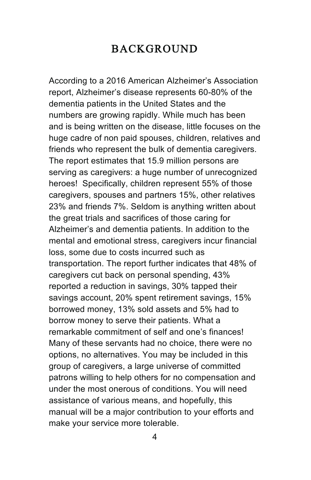#### BACKGROUND

According to a 2016 American Alzheimer's Association report, Alzheimer's disease represents 60-80% of the dementia patients in the United States and the numbers are growing rapidly. While much has been and is being written on the disease, little focuses on the huge cadre of non paid spouses, children, relatives and friends who represent the bulk of dementia caregivers. The report estimates that 15.9 million persons are serving as caregivers: a huge number of unrecognized heroes! Specifically, children represent 55% of those caregivers, spouses and partners 15%, other relatives 23% and friends 7%. Seldom is anything written about the great trials and sacrifices of those caring for Alzheimer's and dementia patients. In addition to the mental and emotional stress, caregivers incur financial loss, some due to costs incurred such as transportation. The report further indicates that 48% of caregivers cut back on personal spending, 43% reported a reduction in savings, 30% tapped their savings account, 20% spent retirement savings, 15% borrowed money, 13% sold assets and 5% had to borrow money to serve their patients. What a remarkable commitment of self and one's finances! Many of these servants had no choice, there were no options, no alternatives. You may be included in this group of caregivers, a large universe of committed patrons willing to help others for no compensation and under the most onerous of conditions. You will need assistance of various means, and hopefully, this manual will be a major contribution to your efforts and make your service more tolerable.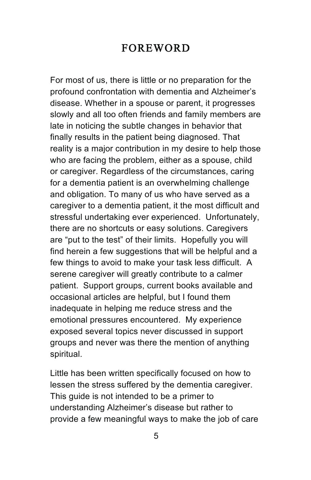#### FOREWORD

For most of us, there is little or no preparation for the profound confrontation with dementia and Alzheimer's disease. Whether in a spouse or parent, it progresses slowly and all too often friends and family members are late in noticing the subtle changes in behavior that finally results in the patient being diagnosed. That reality is a major contribution in my desire to help those who are facing the problem, either as a spouse, child or caregiver. Regardless of the circumstances, caring for a dementia patient is an overwhelming challenge and obligation. To many of us who have served as a caregiver to a dementia patient, it the most difficult and stressful undertaking ever experienced. Unfortunately, there are no shortcuts or easy solutions. Caregivers are "put to the test" of their limits. Hopefully you will find herein a few suggestions that will be helpful and a few things to avoid to make your task less difficult. A serene caregiver will greatly contribute to a calmer patient. Support groups, current books available and occasional articles are helpful, but I found them inadequate in helping me reduce stress and the emotional pressures encountered. My experience exposed several topics never discussed in support groups and never was there the mention of anything spiritual.

Little has been written specifically focused on how to lessen the stress suffered by the dementia caregiver. This guide is not intended to be a primer to understanding Alzheimer's disease but rather to provide a few meaningful ways to make the job of care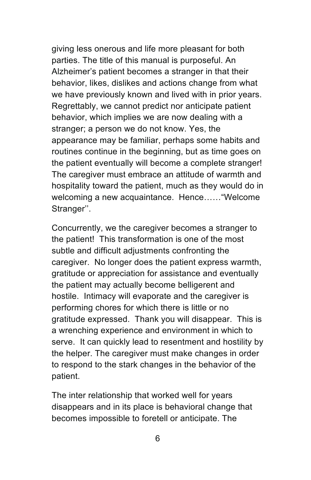giving less onerous and life more pleasant for both parties. The title of this manual is purposeful. An Alzheimer's patient becomes a stranger in that their behavior, likes, dislikes and actions change from what we have previously known and lived with in prior years. Regrettably, we cannot predict nor anticipate patient behavior, which implies we are now dealing with a stranger; a person we do not know. Yes, the appearance may be familiar, perhaps some habits and routines continue in the beginning, but as time goes on the patient eventually will become a complete stranger! The caregiver must embrace an attitude of warmth and hospitality toward the patient, much as they would do in welcoming a new acquaintance. Hence……"Welcome Stranger''.

Concurrently, we the caregiver becomes a stranger to the patient! This transformation is one of the most subtle and difficult adjustments confronting the caregiver. No longer does the patient express warmth, gratitude or appreciation for assistance and eventually the patient may actually become belligerent and hostile. Intimacy will evaporate and the caregiver is performing chores for which there is little or no gratitude expressed. Thank you will disappear. This is a wrenching experience and environment in which to serve. It can quickly lead to resentment and hostility by the helper. The caregiver must make changes in order to respond to the stark changes in the behavior of the patient.

The inter relationship that worked well for years disappears and in its place is behavioral change that becomes impossible to foretell or anticipate. The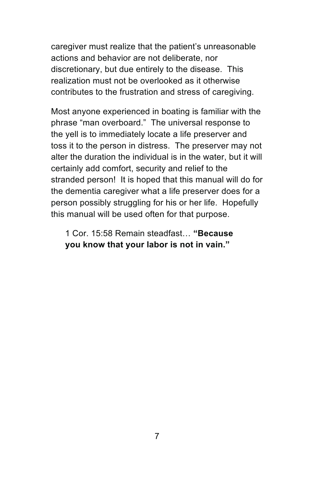caregiver must realize that the patient's unreasonable actions and behavior are not deliberate, nor discretionary, but due entirely to the disease. This realization must not be overlooked as it otherwise contributes to the frustration and stress of caregiving.

Most anyone experienced in boating is familiar with the phrase "man overboard." The universal response to the yell is to immediately locate a life preserver and toss it to the person in distress. The preserver may not alter the duration the individual is in the water, but it will certainly add comfort, security and relief to the stranded person! It is hoped that this manual will do for the dementia caregiver what a life preserver does for a person possibly struggling for his or her life. Hopefully this manual will be used often for that purpose.

1 Cor. 15:58 Remain steadfast… **"Because you know that your labor is not in vain."**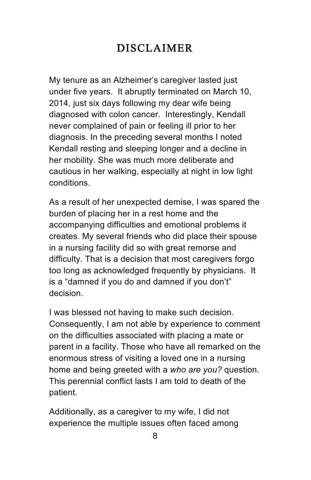# DISCLAIMER

My tenure as an Alzheimer's caregiver lasted just under five years. It abruptly terminated on March 10, 2014, just six days following my dear wife being diagnosed with colon cancer. Interestingly, Kendall never complained of pain or feeling ill prior to her diagnosis. In the preceding several months I noted Kendall resting and sleeping longer and a decline in her mobility. She was much more deliberate and cautious in her walking, especially at night in low light conditions.

As a result of her unexpected demise, I was spared the burden of placing her in a rest home and the accompanying difficulties and emotional problems it creates. My several friends who did place their spouse in a nursing facility did so with great remorse and difficulty. That is a decision that most caregivers forgo too long as acknowledged frequently by physicians. It is a "damned if you do and damned if you don't" decision.

I was blessed not having to make such decision. Consequently, I am not able by experience to comment on the difficulties associated with placing a mate or parent in a facility. Those who have all remarked on the enormous stress of visiting a loved one in a nursing home and being greeted with a *who are you?* question. This perennial conflict lasts I am told to death of the patient.

Additionally, as a caregiver to my wife, I did not experience the multiple issues often faced among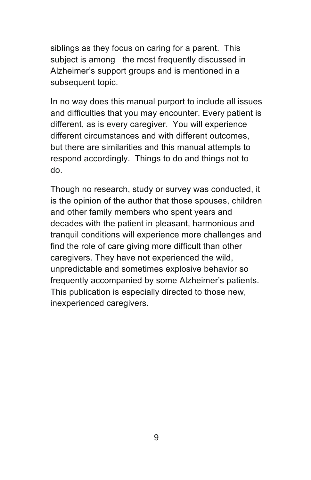siblings as they focus on caring for a parent. This subject is among the most frequently discussed in Alzheimer's support groups and is mentioned in a subsequent topic.

In no way does this manual purport to include all issues and difficulties that you may encounter. Every patient is different, as is every caregiver. You will experience different circumstances and with different outcomes, but there are similarities and this manual attempts to respond accordingly. Things to do and things not to do.

Though no research, study or survey was conducted, it is the opinion of the author that those spouses, children and other family members who spent years and decades with the patient in pleasant, harmonious and tranquil conditions will experience more challenges and find the role of care giving more difficult than other caregivers. They have not experienced the wild, unpredictable and sometimes explosive behavior so frequently accompanied by some Alzheimer's patients. This publication is especially directed to those new, inexperienced caregivers.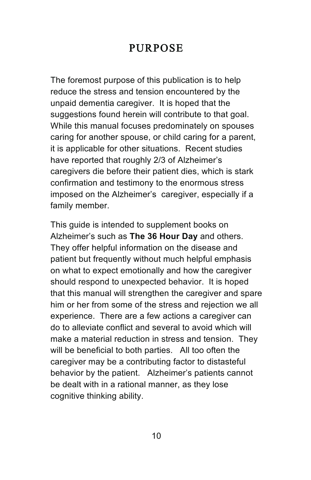#### PURPOSE

The foremost purpose of this publication is to help reduce the stress and tension encountered by the unpaid dementia caregiver. It is hoped that the suggestions found herein will contribute to that goal. While this manual focuses predominately on spouses caring for another spouse, or child caring for a parent, it is applicable for other situations. Recent studies have reported that roughly 2/3 of Alzheimer's caregivers die before their patient dies, which is stark confirmation and testimony to the enormous stress imposed on the Alzheimer's caregiver, especially if a family member.

This guide is intended to supplement books on Alzheimer's such as **The 36 Hour Day** and others. They offer helpful information on the disease and patient but frequently without much helpful emphasis on what to expect emotionally and how the caregiver should respond to unexpected behavior. It is hoped that this manual will strengthen the caregiver and spare him or her from some of the stress and rejection we all experience. There are a few actions a caregiver can do to alleviate conflict and several to avoid which will make a material reduction in stress and tension. They will be beneficial to both parties. All too often the caregiver may be a contributing factor to distasteful behavior by the patient. Alzheimer's patients cannot be dealt with in a rational manner, as they lose cognitive thinking ability.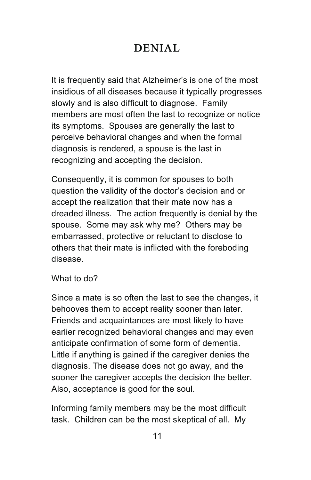# DENIAL

It is frequently said that Alzheimer's is one of the most insidious of all diseases because it typically progresses slowly and is also difficult to diagnose. Family members are most often the last to recognize or notice its symptoms. Spouses are generally the last to perceive behavioral changes and when the formal diagnosis is rendered, a spouse is the last in recognizing and accepting the decision.

Consequently, it is common for spouses to both question the validity of the doctor's decision and or accept the realization that their mate now has a dreaded illness. The action frequently is denial by the spouse. Some may ask why me? Others may be embarrassed, protective or reluctant to disclose to others that their mate is inflicted with the foreboding disease.

What to do?

Since a mate is so often the last to see the changes, it behooves them to accept reality sooner than later. Friends and acquaintances are most likely to have earlier recognized behavioral changes and may even anticipate confirmation of some form of dementia. Little if anything is gained if the caregiver denies the diagnosis. The disease does not go away, and the sooner the caregiver accepts the decision the better. Also, acceptance is good for the soul.

Informing family members may be the most difficult task. Children can be the most skeptical of all. My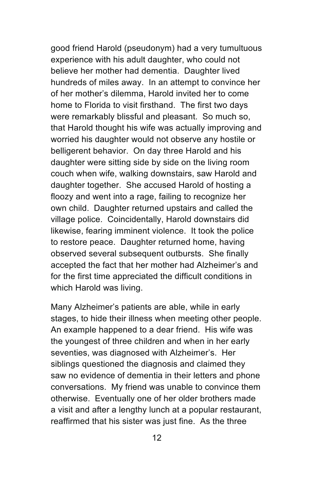good friend Harold (pseudonym) had a very tumultuous experience with his adult daughter, who could not believe her mother had dementia. Daughter lived hundreds of miles away. In an attempt to convince her of her mother's dilemma, Harold invited her to come home to Florida to visit firsthand. The first two days were remarkably blissful and pleasant. So much so, that Harold thought his wife was actually improving and worried his daughter would not observe any hostile or belligerent behavior. On day three Harold and his daughter were sitting side by side on the living room couch when wife, walking downstairs, saw Harold and daughter together. She accused Harold of hosting a floozy and went into a rage, failing to recognize her own child. Daughter returned upstairs and called the village police. Coincidentally, Harold downstairs did likewise, fearing imminent violence. It took the police to restore peace. Daughter returned home, having observed several subsequent outbursts. She finally accepted the fact that her mother had Alzheimer's and for the first time appreciated the difficult conditions in which Harold was living.

Many Alzheimer's patients are able, while in early stages, to hide their illness when meeting other people. An example happened to a dear friend. His wife was the youngest of three children and when in her early seventies, was diagnosed with Alzheimer's. Her siblings questioned the diagnosis and claimed they saw no evidence of dementia in their letters and phone conversations. My friend was unable to convince them otherwise. Eventually one of her older brothers made a visit and after a lengthy lunch at a popular restaurant, reaffirmed that his sister was just fine. As the three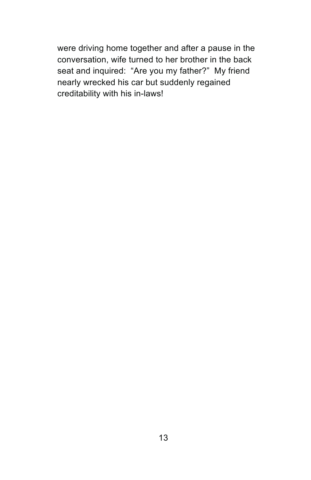were driving home together and after a pause in the conversation, wife turned to her brother in the back seat and inquired: "Are you my father?" My friend nearly wrecked his car but suddenly regained creditability with his in-laws!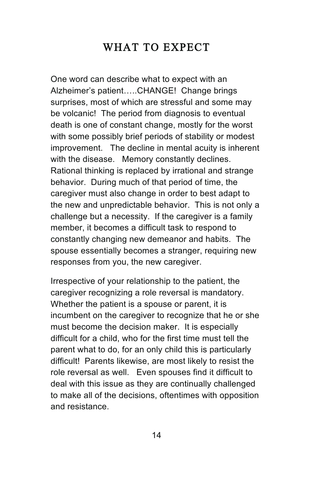# WHAT TO EXPECT

One word can describe what to expect with an Alzheimer's patient…..CHANGE! Change brings surprises, most of which are stressful and some may be volcanic! The period from diagnosis to eventual death is one of constant change, mostly for the worst with some possibly brief periods of stability or modest improvement. The decline in mental acuity is inherent with the disease. Memory constantly declines. Rational thinking is replaced by irrational and strange behavior. During much of that period of time, the caregiver must also change in order to best adapt to the new and unpredictable behavior. This is not only a challenge but a necessity. If the caregiver is a family member, it becomes a difficult task to respond to constantly changing new demeanor and habits. The spouse essentially becomes a stranger, requiring new responses from you, the new caregiver.

Irrespective of your relationship to the patient, the caregiver recognizing a role reversal is mandatory. Whether the patient is a spouse or parent, it is incumbent on the caregiver to recognize that he or she must become the decision maker. It is especially difficult for a child, who for the first time must tell the parent what to do, for an only child this is particularly difficult! Parents likewise, are most likely to resist the role reversal as well. Even spouses find it difficult to deal with this issue as they are continually challenged to make all of the decisions, oftentimes with opposition and resistance.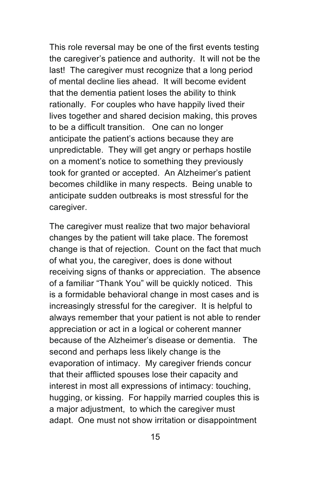This role reversal may be one of the first events testing the caregiver's patience and authority. It will not be the last! The caregiver must recognize that a long period of mental decline lies ahead. It will become evident that the dementia patient loses the ability to think rationally. For couples who have happily lived their lives together and shared decision making, this proves to be a difficult transition. One can no longer anticipate the patient's actions because they are unpredictable. They will get angry or perhaps hostile on a moment's notice to something they previously took for granted or accepted. An Alzheimer's patient becomes childlike in many respects. Being unable to anticipate sudden outbreaks is most stressful for the caregiver.

The caregiver must realize that two major behavioral changes by the patient will take place. The foremost change is that of rejection. Count on the fact that much of what you, the caregiver, does is done without receiving signs of thanks or appreciation. The absence of a familiar "Thank You" will be quickly noticed. This is a formidable behavioral change in most cases and is increasingly stressful for the caregiver. It is helpful to always remember that your patient is not able to render appreciation or act in a logical or coherent manner because of the Alzheimer's disease or dementia. The second and perhaps less likely change is the evaporation of intimacy. My caregiver friends concur that their afflicted spouses lose their capacity and interest in most all expressions of intimacy: touching, hugging, or kissing. For happily married couples this is a major adjustment, to which the caregiver must adapt. One must not show irritation or disappointment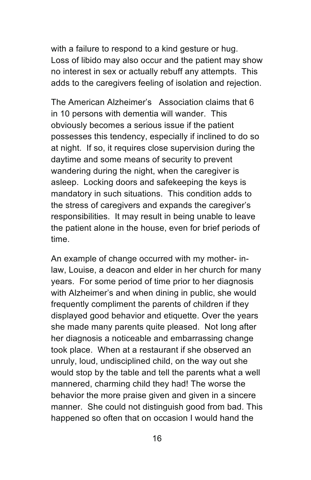with a failure to respond to a kind gesture or hug. Loss of libido may also occur and the patient may show no interest in sex or actually rebuff any attempts. This adds to the caregivers feeling of isolation and rejection.

The American Alzheimer's Association claims that 6 in 10 persons with dementia will wander. This obviously becomes a serious issue if the patient possesses this tendency, especially if inclined to do so at night. If so, it requires close supervision during the daytime and some means of security to prevent wandering during the night, when the caregiver is asleep. Locking doors and safekeeping the keys is mandatory in such situations. This condition adds to the stress of caregivers and expands the caregiver's responsibilities. It may result in being unable to leave the patient alone in the house, even for brief periods of time.

An example of change occurred with my mother- inlaw, Louise, a deacon and elder in her church for many years. For some period of time prior to her diagnosis with Alzheimer's and when dining in public, she would frequently compliment the parents of children if they displayed good behavior and etiquette. Over the years she made many parents quite pleased. Not long after her diagnosis a noticeable and embarrassing change took place. When at a restaurant if she observed an unruly, loud, undisciplined child, on the way out she would stop by the table and tell the parents what a well mannered, charming child they had! The worse the behavior the more praise given and given in a sincere manner. She could not distinguish good from bad. This happened so often that on occasion I would hand the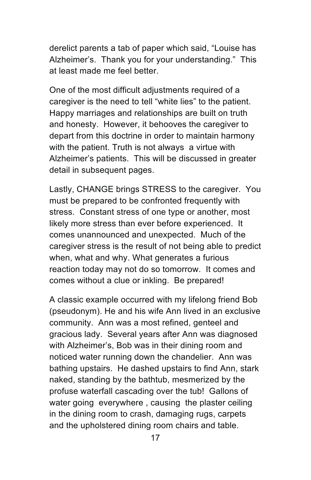derelict parents a tab of paper which said, "Louise has Alzheimer's. Thank you for your understanding." This at least made me feel better.

One of the most difficult adjustments required of a caregiver is the need to tell "white lies" to the patient. Happy marriages and relationships are built on truth and honesty. However, it behooves the caregiver to depart from this doctrine in order to maintain harmony with the patient. Truth is not always a virtue with Alzheimer's patients. This will be discussed in greater detail in subsequent pages.

Lastly, CHANGE brings STRESS to the caregiver. You must be prepared to be confronted frequently with stress. Constant stress of one type or another, most likely more stress than ever before experienced. It comes unannounced and unexpected. Much of the caregiver stress is the result of not being able to predict when, what and why. What generates a furious reaction today may not do so tomorrow. It comes and comes without a clue or inkling. Be prepared!

A classic example occurred with my lifelong friend Bob (pseudonym). He and his wife Ann lived in an exclusive community. Ann was a most refined, genteel and gracious lady. Several years after Ann was diagnosed with Alzheimer's, Bob was in their dining room and noticed water running down the chandelier. Ann was bathing upstairs. He dashed upstairs to find Ann, stark naked, standing by the bathtub, mesmerized by the profuse waterfall cascading over the tub! Gallons of water going everywhere , causing the plaster ceiling in the dining room to crash, damaging rugs, carpets and the upholstered dining room chairs and table.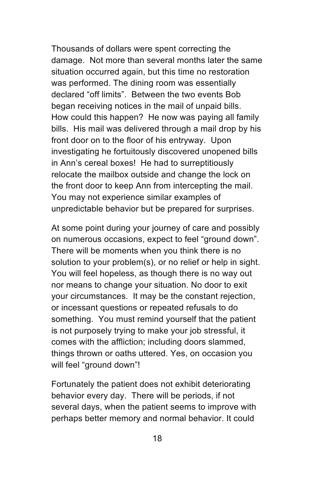Thousands of dollars were spent correcting the damage. Not more than several months later the same situation occurred again, but this time no restoration was performed. The dining room was essentially declared "off limits". Between the two events Bob began receiving notices in the mail of unpaid bills. How could this happen? He now was paying all family bills. His mail was delivered through a mail drop by his front door on to the floor of his entryway. Upon investigating he fortuitously discovered unopened bills in Ann's cereal boxes! He had to surreptitiously relocate the mailbox outside and change the lock on the front door to keep Ann from intercepting the mail. You may not experience similar examples of unpredictable behavior but be prepared for surprises.

At some point during your journey of care and possibly on numerous occasions, expect to feel "ground down". There will be moments when you think there is no solution to your problem(s), or no relief or help in sight. You will feel hopeless, as though there is no way out nor means to change your situation. No door to exit your circumstances. It may be the constant rejection, or incessant questions or repeated refusals to do something. You must remind yourself that the patient is not purposely trying to make your job stressful, it comes with the affliction; including doors slammed, things thrown or oaths uttered. Yes, on occasion you will feel "ground down"!

Fortunately the patient does not exhibit deteriorating behavior every day. There will be periods, if not several days, when the patient seems to improve with perhaps better memory and normal behavior. It could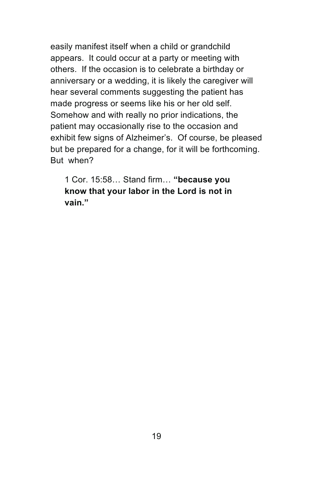easily manifest itself when a child or grandchild appears. It could occur at a party or meeting with others. If the occasion is to celebrate a birthday or anniversary or a wedding, it is likely the caregiver will hear several comments suggesting the patient has made progress or seems like his or her old self. Somehow and with really no prior indications, the patient may occasionally rise to the occasion and exhibit few signs of Alzheimer's. Of course, be pleased but be prepared for a change, for it will be forthcoming. But when?

1 Cor. 15:58… Stand firm… **"because you know that your labor in the Lord is not in vain."**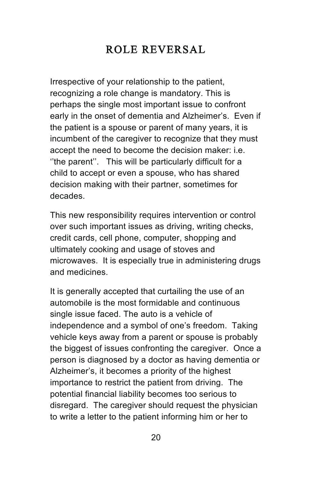# ROLE REVERSAL

Irrespective of your relationship to the patient, recognizing a role change is mandatory. This is perhaps the single most important issue to confront early in the onset of dementia and Alzheimer's. Even if the patient is a spouse or parent of many years, it is incumbent of the caregiver to recognize that they must accept the need to become the decision maker: i.e. ''the parent''. This will be particularly difficult for a child to accept or even a spouse, who has shared decision making with their partner, sometimes for decades.

This new responsibility requires intervention or control over such important issues as driving, writing checks, credit cards, cell phone, computer, shopping and ultimately cooking and usage of stoves and microwaves. It is especially true in administering drugs and medicines.

It is generally accepted that curtailing the use of an automobile is the most formidable and continuous single issue faced. The auto is a vehicle of independence and a symbol of one's freedom. Taking vehicle keys away from a parent or spouse is probably the biggest of issues confronting the caregiver. Once a person is diagnosed by a doctor as having dementia or Alzheimer's, it becomes a priority of the highest importance to restrict the patient from driving. The potential financial liability becomes too serious to disregard. The caregiver should request the physician to write a letter to the patient informing him or her to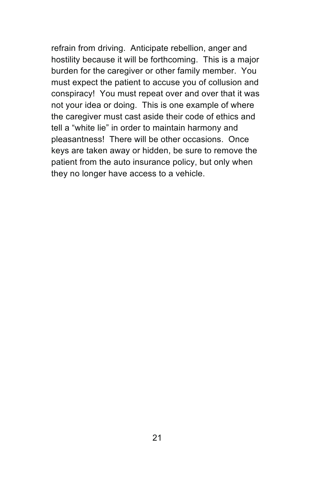refrain from driving. Anticipate rebellion, anger and hostility because it will be forthcoming. This is a major burden for the caregiver or other family member. You must expect the patient to accuse you of collusion and conspiracy! You must repeat over and over that it was not your idea or doing. This is one example of where the caregiver must cast aside their code of ethics and tell a "white lie" in order to maintain harmony and pleasantness! There will be other occasions. Once keys are taken away or hidden, be sure to remove the patient from the auto insurance policy, but only when they no longer have access to a vehicle.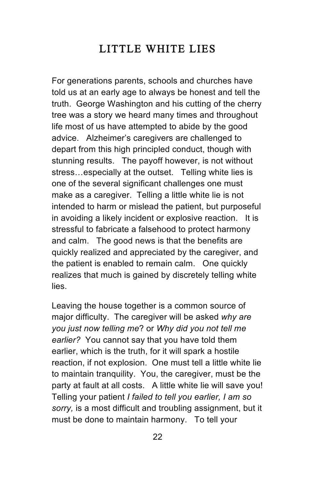# LITTLE WHITE LIES

For generations parents, schools and churches have told us at an early age to always be honest and tell the truth. George Washington and his cutting of the cherry tree was a story we heard many times and throughout life most of us have attempted to abide by the good advice. Alzheimer's caregivers are challenged to depart from this high principled conduct, though with stunning results. The payoff however, is not without stress…especially at the outset. Telling white lies is one of the several significant challenges one must make as a caregiver. Telling a little white lie is not intended to harm or mislead the patient, but purposeful in avoiding a likely incident or explosive reaction. It is stressful to fabricate a falsehood to protect harmony and calm. The good news is that the benefits are quickly realized and appreciated by the caregiver, and the patient is enabled to remain calm. One quickly realizes that much is gained by discretely telling white lies.

Leaving the house together is a common source of major difficulty. The caregiver will be asked *why are you just now telling me*? or *Why did you not tell me earlier?* You cannot say that you have told them earlier, which is the truth, for it will spark a hostile reaction, if not explosion. One must tell a little white lie to maintain tranquility. You, the caregiver, must be the party at fault at all costs. A little white lie will save you! Telling your patient *I failed to tell you earlier, I am so sorry,* is a most difficult and troubling assignment, but it must be done to maintain harmony. To tell your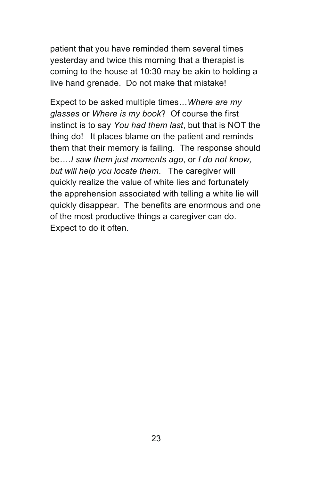patient that you have reminded them several times yesterday and twice this morning that a therapist is coming to the house at 10:30 may be akin to holding a live hand grenade. Do not make that mistake!

Expect to be asked multiple times…*Where are my glasses* or *Where is my book*? Of course the first instinct is to say *You had them last*, but that is NOT the thing do! It places blame on the patient and reminds them that their memory is failing. The response should be….*I saw them just moments ago*, or *I do not know, but will help you locate them*. The caregiver will quickly realize the value of white lies and fortunately the apprehension associated with telling a white lie will quickly disappear. The benefits are enormous and one of the most productive things a caregiver can do. Expect to do it often.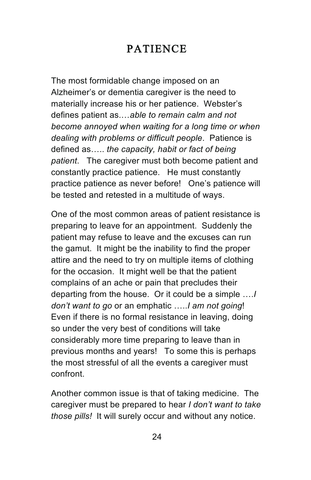# PATIENCE

The most formidable change imposed on an Alzheimer's or dementia caregiver is the need to materially increase his or her patience. Webster's defines patient as.…*able to remain calm and not become annoyed when waiting for a long time or when dealing with problems or difficult people*. Patience is defined as….. *the capacity, habit or fact of being patient*. The caregiver must both become patient and constantly practice patience. He must constantly practice patience as never before! One's patience will be tested and retested in a multitude of ways.

One of the most common areas of patient resistance is preparing to leave for an appointment. Suddenly the patient may refuse to leave and the excuses can run the gamut. It might be the inability to find the proper attire and the need to try on multiple items of clothing for the occasion. It might well be that the patient complains of an ache or pain that precludes their departing from the house. Or it could be a simple ….*I don't want to go* or an emphatic …..*I am not going*! Even if there is no formal resistance in leaving, doing so under the very best of conditions will take considerably more time preparing to leave than in previous months and years! To some this is perhaps the most stressful of all the events a caregiver must confront.

Another common issue is that of taking medicine. The caregiver must be prepared to hear *I don't want to take those pills!* It will surely occur and without any notice.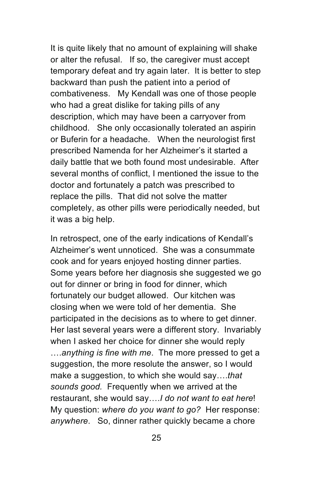It is quite likely that no amount of explaining will shake or alter the refusal. If so, the caregiver must accept temporary defeat and try again later. It is better to step backward than push the patient into a period of combativeness. My Kendall was one of those people who had a great dislike for taking pills of any description, which may have been a carryover from childhood. She only occasionally tolerated an aspirin or Buferin for a headache. When the neurologist first prescribed Namenda for her Alzheimer's it started a daily battle that we both found most undesirable. After several months of conflict, I mentioned the issue to the doctor and fortunately a patch was prescribed to replace the pills. That did not solve the matter completely, as other pills were periodically needed, but it was a big help.

In retrospect, one of the early indications of Kendall's Alzheimer's went unnoticed. She was a consummate cook and for years enjoyed hosting dinner parties. Some years before her diagnosis she suggested we go out for dinner or bring in food for dinner, which fortunately our budget allowed. Our kitchen was closing when we were told of her dementia. She participated in the decisions as to where to get dinner. Her last several years were a different story. Invariably when I asked her choice for dinner she would reply ….*anything is fine with me*. The more pressed to get a suggestion, the more resolute the answer, so I would make a suggestion, to which she would say….*that sounds good.* Frequently when we arrived at the restaurant, she would say….*I do not want to eat here*! My question: *where do you want to go?* Her response: *anywhere*. So, dinner rather quickly became a chore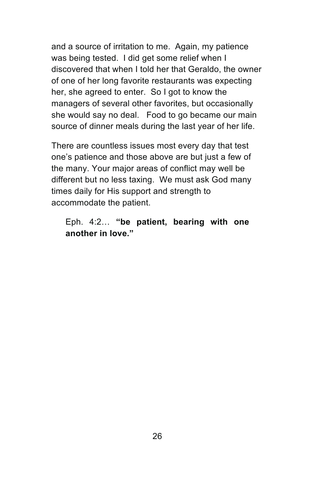and a source of irritation to me. Again, my patience was being tested. I did get some relief when I discovered that when I told her that Geraldo, the owner of one of her long favorite restaurants was expecting her, she agreed to enter. So I got to know the managers of several other favorites, but occasionally she would say no deal. Food to go became our main source of dinner meals during the last year of her life.

There are countless issues most every day that test one's patience and those above are but just a few of the many. Your major areas of conflict may well be different but no less taxing. We must ask God many times daily for His support and strength to accommodate the patient.

#### Eph. 4:2… **"be patient, bearing with one another in love."**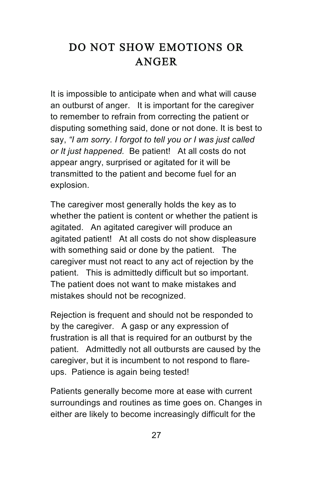# DO NOT SHOW EMOTIONS OR ANGER

It is impossible to anticipate when and what will cause an outburst of anger. It is important for the caregiver to remember to refrain from correcting the patient or disputing something said, done or not done. It is best to say, *"I am sorry. I forgot to tell you or I was just called or It just happened.* Be patient! At all costs do not appear angry, surprised or agitated for it will be transmitted to the patient and become fuel for an explosion.

The caregiver most generally holds the key as to whether the patient is content or whether the patient is agitated. An agitated caregiver will produce an agitated patient! At all costs do not show displeasure with something said or done by the patient. The caregiver must not react to any act of rejection by the patient. This is admittedly difficult but so important. The patient does not want to make mistakes and mistakes should not be recognized.

Rejection is frequent and should not be responded to by the caregiver. A gasp or any expression of frustration is all that is required for an outburst by the patient. Admittedly not all outbursts are caused by the caregiver, but it is incumbent to not respond to flareups. Patience is again being tested!

Patients generally become more at ease with current surroundings and routines as time goes on. Changes in either are likely to become increasingly difficult for the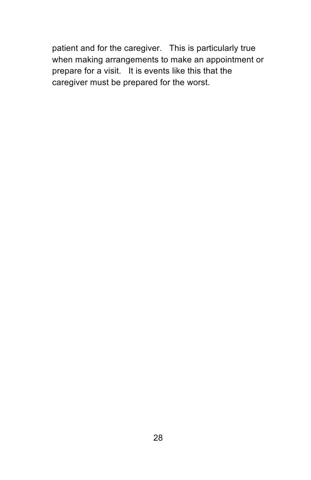patient and for the caregiver. This is particularly true when making arrangements to make an appointment or prepare for a visit. It is events like this that the caregiver must be prepared for the worst.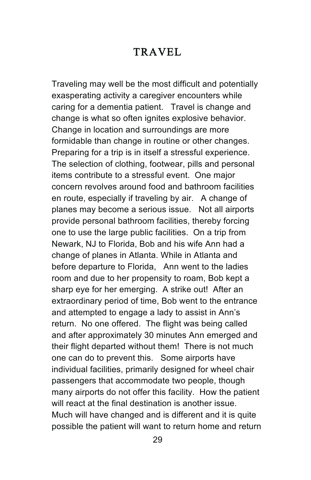#### TRAVEL

Traveling may well be the most difficult and potentially exasperating activity a caregiver encounters while caring for a dementia patient. Travel is change and change is what so often ignites explosive behavior. Change in location and surroundings are more formidable than change in routine or other changes. Preparing for a trip is in itself a stressful experience. The selection of clothing, footwear, pills and personal items contribute to a stressful event. One major concern revolves around food and bathroom facilities en route, especially if traveling by air. A change of planes may become a serious issue. Not all airports provide personal bathroom facilities, thereby forcing one to use the large public facilities. On a trip from Newark, NJ to Florida, Bob and his wife Ann had a change of planes in Atlanta. While in Atlanta and before departure to Florida, Ann went to the ladies room and due to her propensity to roam, Bob kept a sharp eye for her emerging. A strike out! After an extraordinary period of time, Bob went to the entrance and attempted to engage a lady to assist in Ann's return. No one offered. The flight was being called and after approximately 30 minutes Ann emerged and their flight departed without them! There is not much one can do to prevent this. Some airports have individual facilities, primarily designed for wheel chair passengers that accommodate two people, though many airports do not offer this facility. How the patient will react at the final destination is another issue. Much will have changed and is different and it is quite possible the patient will want to return home and return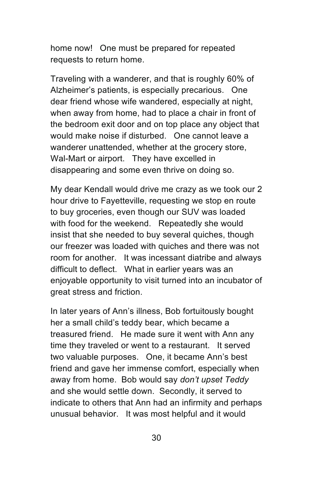home now! One must be prepared for repeated requests to return home.

Traveling with a wanderer, and that is roughly 60% of Alzheimer's patients, is especially precarious. One dear friend whose wife wandered, especially at night, when away from home, had to place a chair in front of the bedroom exit door and on top place any object that would make noise if disturbed. One cannot leave a wanderer unattended, whether at the grocery store, Wal-Mart or airport. They have excelled in disappearing and some even thrive on doing so.

My dear Kendall would drive me crazy as we took our 2 hour drive to Fayetteville, requesting we stop en route to buy groceries, even though our SUV was loaded with food for the weekend. Repeatedly she would insist that she needed to buy several quiches, though our freezer was loaded with quiches and there was not room for another. It was incessant diatribe and always difficult to deflect. What in earlier years was an enjoyable opportunity to visit turned into an incubator of great stress and friction.

In later years of Ann's illness, Bob fortuitously bought her a small child's teddy bear, which became a treasured friend. He made sure it went with Ann any time they traveled or went to a restaurant. It served two valuable purposes. One, it became Ann's best friend and gave her immense comfort, especially when away from home. Bob would say *don't upset Teddy*  and she would settle down. Secondly, it served to indicate to others that Ann had an infirmity and perhaps unusual behavior. It was most helpful and it would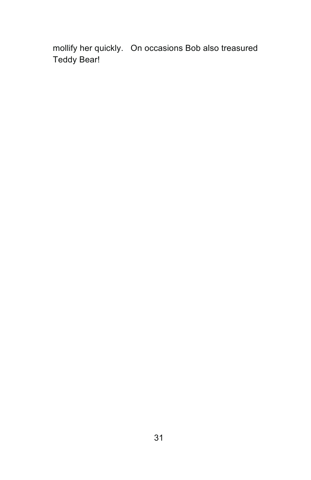mollify her quickly. On occasions Bob also treasured Teddy Bear!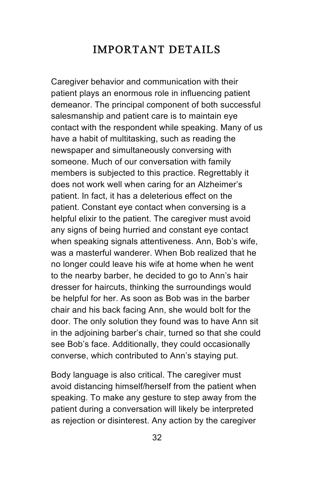### IMPORTANT DETAILS

Caregiver behavior and communication with their patient plays an enormous role in influencing patient demeanor. The principal component of both successful salesmanship and patient care is to maintain eye contact with the respondent while speaking. Many of us have a habit of multitasking, such as reading the newspaper and simultaneously conversing with someone. Much of our conversation with family members is subjected to this practice. Regrettably it does not work well when caring for an Alzheimer's patient. In fact, it has a deleterious effect on the patient. Constant eye contact when conversing is a helpful elixir to the patient. The caregiver must avoid any signs of being hurried and constant eye contact when speaking signals attentiveness. Ann, Bob's wife, was a masterful wanderer. When Bob realized that he no longer could leave his wife at home when he went to the nearby barber, he decided to go to Ann's hair dresser for haircuts, thinking the surroundings would be helpful for her. As soon as Bob was in the barber chair and his back facing Ann, she would bolt for the door. The only solution they found was to have Ann sit in the adjoining barber's chair, turned so that she could see Bob's face. Additionally, they could occasionally converse, which contributed to Ann's staying put.

Body language is also critical. The caregiver must avoid distancing himself/herself from the patient when speaking. To make any gesture to step away from the patient during a conversation will likely be interpreted as rejection or disinterest. Any action by the caregiver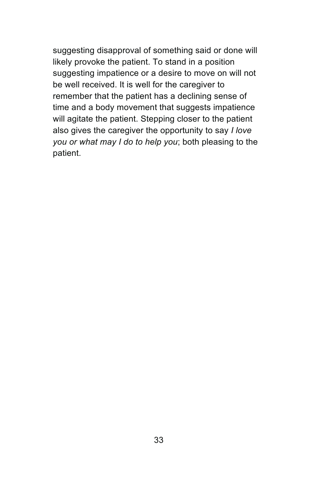suggesting disapproval of something said or done will likely provoke the patient. To stand in a position suggesting impatience or a desire to move on will not be well received. It is well for the caregiver to remember that the patient has a declining sense of time and a body movement that suggests impatience will agitate the patient. Stepping closer to the patient also gives the caregiver the opportunity to say *I love you or what may I do to help you*; both pleasing to the patient.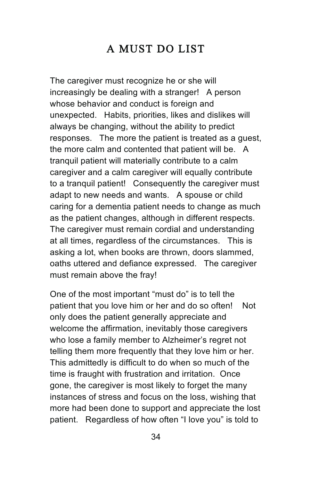# A MUST DO LIST

The caregiver must recognize he or she will increasingly be dealing with a stranger! A person whose behavior and conduct is foreign and unexpected. Habits, priorities, likes and dislikes will always be changing, without the ability to predict responses. The more the patient is treated as a guest, the more calm and contented that patient will be. A tranquil patient will materially contribute to a calm caregiver and a calm caregiver will equally contribute to a tranquil patient! Consequently the caregiver must adapt to new needs and wants. A spouse or child caring for a dementia patient needs to change as much as the patient changes, although in different respects. The caregiver must remain cordial and understanding at all times, regardless of the circumstances. This is asking a lot, when books are thrown, doors slammed, oaths uttered and defiance expressed. The caregiver must remain above the fray!

One of the most important "must do" is to tell the patient that you love him or her and do so often! Not only does the patient generally appreciate and welcome the affirmation, inevitably those caregivers who lose a family member to Alzheimer's regret not telling them more frequently that they love him or her. This admittedly is difficult to do when so much of the time is fraught with frustration and irritation. Once gone, the caregiver is most likely to forget the many instances of stress and focus on the loss, wishing that more had been done to support and appreciate the lost patient. Regardless of how often "I love you" is told to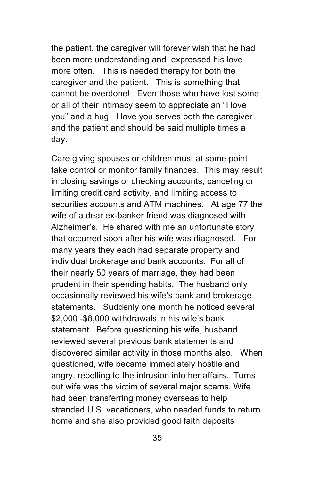the patient, the caregiver will forever wish that he had been more understanding and expressed his love more often. This is needed therapy for both the caregiver and the patient. This is something that cannot be overdone! Even those who have lost some or all of their intimacy seem to appreciate an "I love you" and a hug. I love you serves both the caregiver and the patient and should be said multiple times a day.

Care giving spouses or children must at some point take control or monitor family finances. This may result in closing savings or checking accounts, canceling or limiting credit card activity, and limiting access to securities accounts and ATM machines. At age 77 the wife of a dear ex-banker friend was diagnosed with Alzheimer's. He shared with me an unfortunate story that occurred soon after his wife was diagnosed. For many years they each had separate property and individual brokerage and bank accounts. For all of their nearly 50 years of marriage, they had been prudent in their spending habits. The husband only occasionally reviewed his wife's bank and brokerage statements. Suddenly one month he noticed several \$2,000 -\$8,000 withdrawals in his wife's bank statement. Before questioning his wife, husband reviewed several previous bank statements and discovered similar activity in those months also. When questioned, wife became immediately hostile and angry, rebelling to the intrusion into her affairs. Turns out wife was the victim of several major scams. Wife had been transferring money overseas to help stranded U.S. vacationers, who needed funds to return home and she also provided good faith deposits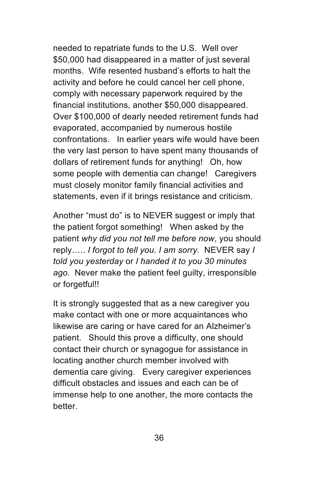needed to repatriate funds to the U.S. Well over \$50,000 had disappeared in a matter of just several months. Wife resented husband's efforts to halt the activity and before he could cancel her cell phone, comply with necessary paperwork required by the financial institutions, another \$50,000 disappeared. Over \$100,000 of dearly needed retirement funds had evaporated, accompanied by numerous hostile confrontations. In earlier years wife would have been the very last person to have spent many thousands of dollars of retirement funds for anything! Oh, how some people with dementia can change! Caregivers must closely monitor family financial activities and statements, even if it brings resistance and criticism.

Another "must do" is to NEVER suggest or imply that the patient forgot something! When asked by the patient *why did you not tell me before now*, you should reply….. *I forgot to tell you. I am sorry.* NEVER say *I told you yesterday* or *I handed it to you 30 minutes ago.* Never make the patient feel guilty, irresponsible or forgetful!!

It is strongly suggested that as a new caregiver you make contact with one or more acquaintances who likewise are caring or have cared for an Alzheimer's patient. Should this prove a difficulty, one should contact their church or synagogue for assistance in locating another church member involved with dementia care giving. Every caregiver experiences difficult obstacles and issues and each can be of immense help to one another, the more contacts the better.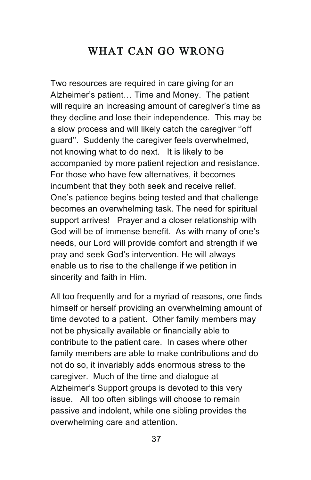### WHAT CAN GO WRONG

Two resources are required in care giving for an Alzheimer's patient… Time and Money. The patient will require an increasing amount of caregiver's time as they decline and lose their independence. This may be a slow process and will likely catch the caregiver ''off guard''. Suddenly the caregiver feels overwhelmed, not knowing what to do next. It is likely to be accompanied by more patient rejection and resistance. For those who have few alternatives, it becomes incumbent that they both seek and receive relief. One's patience begins being tested and that challenge becomes an overwhelming task. The need for spiritual support arrives! Prayer and a closer relationship with God will be of immense benefit. As with many of one's needs, our Lord will provide comfort and strength if we pray and seek God's intervention. He will always enable us to rise to the challenge if we petition in sincerity and faith in Him.

All too frequently and for a myriad of reasons, one finds himself or herself providing an overwhelming amount of time devoted to a patient. Other family members may not be physically available or financially able to contribute to the patient care. In cases where other family members are able to make contributions and do not do so, it invariably adds enormous stress to the caregiver. Much of the time and dialogue at Alzheimer's Support groups is devoted to this very issue. All too often siblings will choose to remain passive and indolent, while one sibling provides the overwhelming care and attention.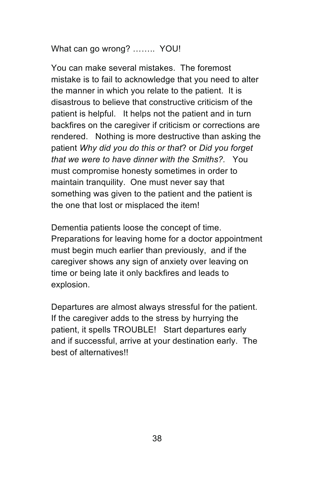What can go wrong? …….. YOU!

You can make several mistakes. The foremost mistake is to fail to acknowledge that you need to alter the manner in which you relate to the patient. It is disastrous to believe that constructive criticism of the patient is helpful. It helps not the patient and in turn backfires on the caregiver if criticism or corrections are rendered. Nothing is more destructive than asking the patient *Why did you do this or that*? or *Did you forget that we were to have dinner with the Smiths?.* You must compromise honesty sometimes in order to maintain tranquility. One must never say that something was given to the patient and the patient is the one that lost or misplaced the item!

Dementia patients loose the concept of time. Preparations for leaving home for a doctor appointment must begin much earlier than previously, and if the caregiver shows any sign of anxiety over leaving on time or being late it only backfires and leads to explosion.

Departures are almost always stressful for the patient. If the caregiver adds to the stress by hurrying the patient, it spells TROUBLE! Start departures early and if successful, arrive at your destination early. The best of alternatives!!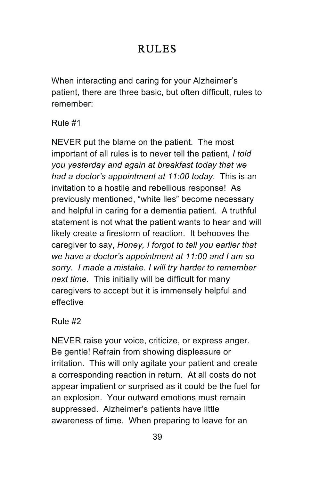# RULES

When interacting and caring for your Alzheimer's patient, there are three basic, but often difficult, rules to remember:

Rule #1

NEVER put the blame on the patient. The most important of all rules is to never tell the patient, *I told you yesterday and again at breakfast today that we had a doctor's appointment at 11:00 today*. This is an invitation to a hostile and rebellious response! As previously mentioned, "white lies" become necessary and helpful in caring for a dementia patient. A truthful statement is not what the patient wants to hear and will likely create a firestorm of reaction. It behooves the caregiver to say, *Honey, I forgot to tell you earlier that we have a doctor's appointment at 11:00 and I am so sorry. I made a mistake. I will try harder to remember next time.* This initially will be difficult for many caregivers to accept but it is immensely helpful and effective

Rule #2

NEVER raise your voice, criticize, or express anger. Be gentle! Refrain from showing displeasure or irritation. This will only agitate your patient and create a corresponding reaction in return. At all costs do not appear impatient or surprised as it could be the fuel for an explosion. Your outward emotions must remain suppressed. Alzheimer's patients have little awareness of time. When preparing to leave for an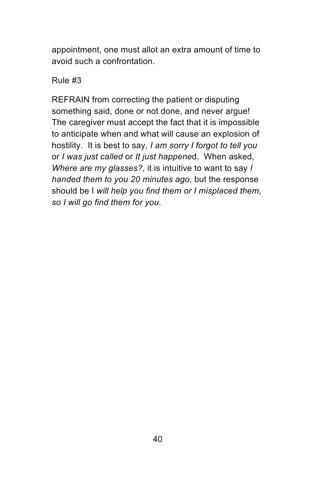appointment, one must allot an extra amount of time to avoid such a confrontation.

#### Rule #3

REFRAIN from correcting the patient or disputing something said, done or not done, and never argue! The caregiver must accept the fact that it is impossible to anticipate when and what will cause an explosion of hostility. It is best to say, *I am sorry I forgot to tell you* or *I was just called* or *It just happene*d. When asked, *Where are my glasses?*, it is intuitive to want to say *I handed them to you 20 minutes ago,* but the response should be I *will help you find them or I misplaced them, so I will go find them for you*.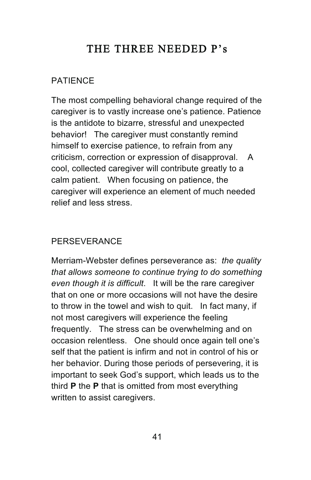# THE THREE NEEDED P's

#### PATIENCE

The most compelling behavioral change required of the caregiver is to vastly increase one's patience. Patience is the antidote to bizarre, stressful and unexpected behavior! The caregiver must constantly remind himself to exercise patience, to refrain from any criticism, correction or expression of disapproval. A cool, collected caregiver will contribute greatly to a calm patient. When focusing on patience, the caregiver will experience an element of much needed relief and less stress.

#### **PERSEVERANCE**

Merriam-Webster defines perseverance as: *the quality that allows someone to continue trying to do something even though it is difficult*. It will be the rare caregiver that on one or more occasions will not have the desire to throw in the towel and wish to quit. In fact many, if not most caregivers will experience the feeling frequently. The stress can be overwhelming and on occasion relentless. One should once again tell one's self that the patient is infirm and not in control of his or her behavior. During those periods of persevering, it is important to seek God's support, which leads us to the third **P** the **P** that is omitted from most everything written to assist caregivers.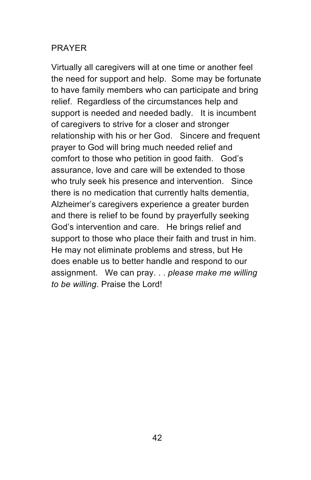#### PRAYER

Virtually all caregivers will at one time or another feel the need for support and help. Some may be fortunate to have family members who can participate and bring relief. Regardless of the circumstances help and support is needed and needed badly. It is incumbent of caregivers to strive for a closer and stronger relationship with his or her God. Sincere and frequent prayer to God will bring much needed relief and comfort to those who petition in good faith. God's assurance, love and care will be extended to those who truly seek his presence and intervention. Since there is no medication that currently halts dementia, Alzheimer's caregivers experience a greater burden and there is relief to be found by prayerfully seeking God's intervention and care. He brings relief and support to those who place their faith and trust in him. He may not eliminate problems and stress, but He does enable us to better handle and respond to our assignment. We can pray. . . *please make me willing to be willing*. Praise the Lord!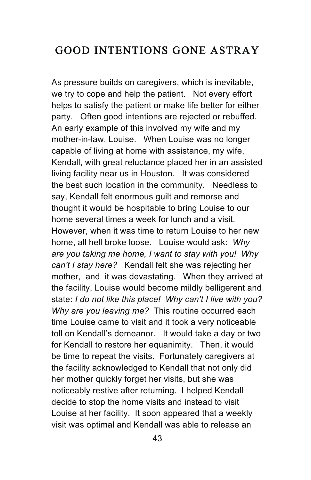#### GOOD INTENTIONS GONE ASTRAY

As pressure builds on caregivers, which is inevitable, we try to cope and help the patient. Not every effort helps to satisfy the patient or make life better for either party. Often good intentions are rejected or rebuffed. An early example of this involved my wife and my mother-in-law, Louise. When Louise was no longer capable of living at home with assistance, my wife, Kendall, with great reluctance placed her in an assisted living facility near us in Houston. It was considered the best such location in the community. Needless to say, Kendall felt enormous guilt and remorse and thought it would be hospitable to bring Louise to our home several times a week for lunch and a visit. However, when it was time to return Louise to her new home, all hell broke loose. Louise would ask: *Why are you taking me home, I want to stay with you! Why can't I stay here?* Kendall felt she was rejecting her mother, and it was devastating. When they arrived at the facility, Louise would become mildly belligerent and state: *I do not like this place! Why can't I live with you? Why are you leaving me?* This routine occurred each time Louise came to visit and it took a very noticeable toll on Kendall's demeanor. It would take a day or two for Kendall to restore her equanimity. Then, it would be time to repeat the visits. Fortunately caregivers at the facility acknowledged to Kendall that not only did her mother quickly forget her visits, but she was noticeably restive after returning. I helped Kendall decide to stop the home visits and instead to visit Louise at her facility. It soon appeared that a weekly visit was optimal and Kendall was able to release an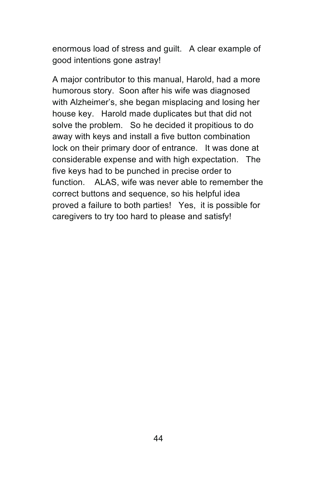enormous load of stress and guilt. A clear example of good intentions gone astray!

A major contributor to this manual, Harold, had a more humorous story. Soon after his wife was diagnosed with Alzheimer's, she began misplacing and losing her house key. Harold made duplicates but that did not solve the problem. So he decided it propitious to do away with keys and install a five button combination lock on their primary door of entrance. It was done at considerable expense and with high expectation. The five keys had to be punched in precise order to function. ALAS, wife was never able to remember the correct buttons and sequence, so his helpful idea proved a failure to both parties! Yes, it is possible for caregivers to try too hard to please and satisfy!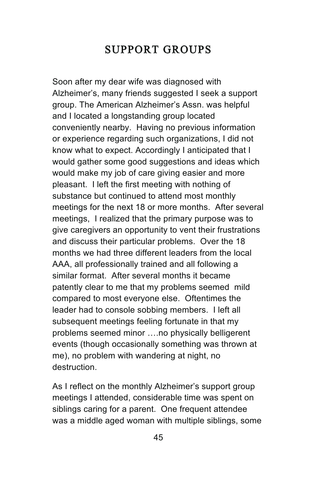### SUPPORT GROUPS

Soon after my dear wife was diagnosed with Alzheimer's, many friends suggested I seek a support group. The American Alzheimer's Assn. was helpful and I located a longstanding group located conveniently nearby. Having no previous information or experience regarding such organizations, I did not know what to expect. Accordingly I anticipated that I would gather some good suggestions and ideas which would make my job of care giving easier and more pleasant. I left the first meeting with nothing of substance but continued to attend most monthly meetings for the next 18 or more months. After several meetings, I realized that the primary purpose was to give caregivers an opportunity to vent their frustrations and discuss their particular problems. Over the 18 months we had three different leaders from the local AAA, all professionally trained and all following a similar format. After several months it became patently clear to me that my problems seemed mild compared to most everyone else. Oftentimes the leader had to console sobbing members. I left all subsequent meetings feeling fortunate in that my problems seemed minor ….no physically belligerent events (though occasionally something was thrown at me), no problem with wandering at night, no destruction.

As I reflect on the monthly Alzheimer's support group meetings I attended, considerable time was spent on siblings caring for a parent. One frequent attendee was a middle aged woman with multiple siblings, some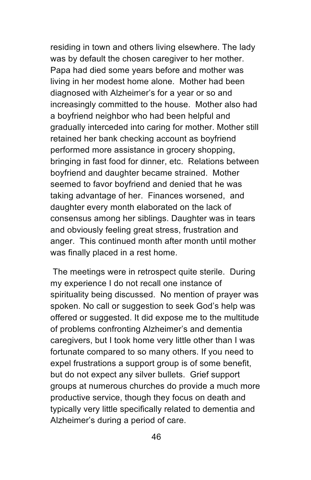residing in town and others living elsewhere. The lady was by default the chosen caregiver to her mother. Papa had died some years before and mother was living in her modest home alone. Mother had been diagnosed with Alzheimer's for a year or so and increasingly committed to the house. Mother also had a boyfriend neighbor who had been helpful and gradually interceded into caring for mother. Mother still retained her bank checking account as boyfriend performed more assistance in grocery shopping, bringing in fast food for dinner, etc. Relations between boyfriend and daughter became strained. Mother seemed to favor boyfriend and denied that he was taking advantage of her. Finances worsened, and daughter every month elaborated on the lack of consensus among her siblings. Daughter was in tears and obviously feeling great stress, frustration and anger. This continued month after month until mother was finally placed in a rest home.

The meetings were in retrospect quite sterile. During my experience I do not recall one instance of spirituality being discussed. No mention of prayer was spoken. No call or suggestion to seek God's help was offered or suggested. It did expose me to the multitude of problems confronting Alzheimer's and dementia caregivers, but I took home very little other than I was fortunate compared to so many others. If you need to expel frustrations a support group is of some benefit, but do not expect any silver bullets. Grief support groups at numerous churches do provide a much more productive service, though they focus on death and typically very little specifically related to dementia and Alzheimer's during a period of care.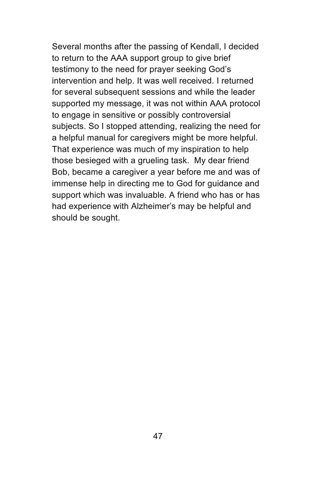Several months after the passing of Kendall, I decided to return to the AAA support group to give brief testimony to the need for prayer seeking God's intervention and help. It was well received. I returned for several subsequent sessions and while the leader supported my message, it was not within AAA protocol to engage in sensitive or possibly controversial subjects. So I stopped attending, realizing the need for a helpful manual for caregivers might be more helpful. That experience was much of my inspiration to help those besieged with a grueling task. My dear friend Bob, became a caregiver a year before me and was of immense help in directing me to God for guidance and support which was invaluable. A friend who has or has had experience with Alzheimer's may be helpful and should be sought.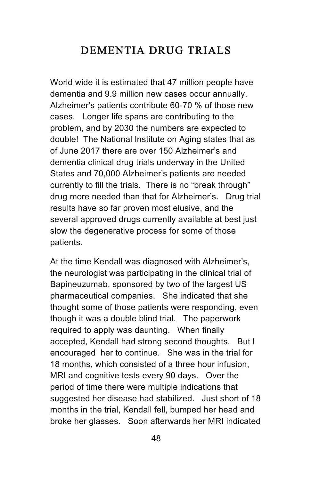#### DEMENTIA DRUG TRIALS

World wide it is estimated that 47 million people have dementia and 9.9 million new cases occur annually. Alzheimer's patients contribute 60-70 % of those new cases. Longer life spans are contributing to the problem, and by 2030 the numbers are expected to double! The National Institute on Aging states that as of June 2017 there are over 150 Alzheimer's and dementia clinical drug trials underway in the United States and 70,000 Alzheimer's patients are needed currently to fill the trials. There is no "break through" drug more needed than that for Alzheimer's. Drug trial results have so far proven most elusive, and the several approved drugs currently available at best just slow the degenerative process for some of those patients.

At the time Kendall was diagnosed with Alzheimer's, the neurologist was participating in the clinical trial of Bapineuzumab, sponsored by two of the largest US pharmaceutical companies. She indicated that she thought some of those patients were responding, even though it was a double blind trial. The paperwork required to apply was daunting. When finally accepted, Kendall had strong second thoughts. But I encouraged her to continue. She was in the trial for 18 months, which consisted of a three hour infusion, MRI and cognitive tests every 90 days. Over the period of time there were multiple indications that suggested her disease had stabilized. Just short of 18 months in the trial, Kendall fell, bumped her head and broke her glasses. Soon afterwards her MRI indicated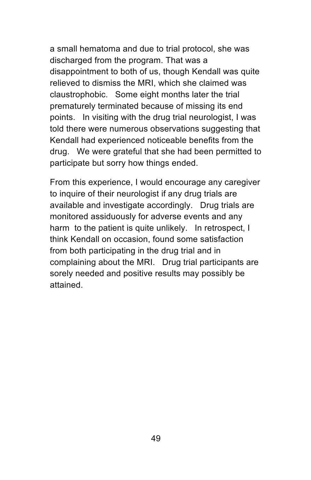a small hematoma and due to trial protocol, she was discharged from the program. That was a disappointment to both of us, though Kendall was quite relieved to dismiss the MRI, which she claimed was claustrophobic. Some eight months later the trial prematurely terminated because of missing its end points. In visiting with the drug trial neurologist, I was told there were numerous observations suggesting that Kendall had experienced noticeable benefits from the drug. We were grateful that she had been permitted to participate but sorry how things ended.

From this experience, I would encourage any caregiver to inquire of their neurologist if any drug trials are available and investigate accordingly. Drug trials are monitored assiduously for adverse events and any harm to the patient is quite unlikely. In retrospect, I think Kendall on occasion, found some satisfaction from both participating in the drug trial and in complaining about the MRI. Drug trial participants are sorely needed and positive results may possibly be attained.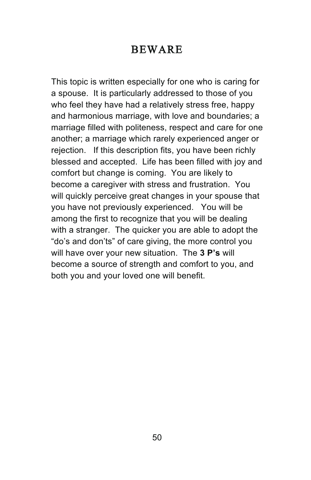#### BEWARE

This topic is written especially for one who is caring for a spouse. It is particularly addressed to those of you who feel they have had a relatively stress free, happy and harmonious marriage, with love and boundaries; a marriage filled with politeness, respect and care for one another; a marriage which rarely experienced anger or rejection. If this description fits, you have been richly blessed and accepted. Life has been filled with joy and comfort but change is coming. You are likely to become a caregiver with stress and frustration. You will quickly perceive great changes in your spouse that you have not previously experienced. You will be among the first to recognize that you will be dealing with a stranger. The quicker you are able to adopt the "do's and don'ts" of care giving, the more control you will have over your new situation. The **3 P's** will become a source of strength and comfort to you, and both you and your loved one will benefit.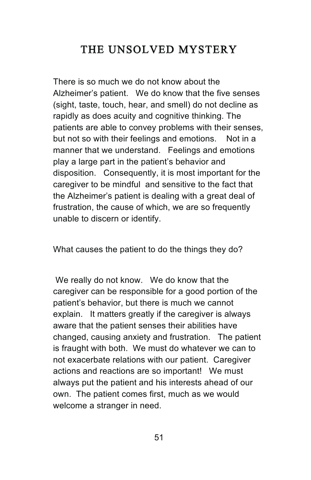# THE UNSOLVED MYSTERY

There is so much we do not know about the Alzheimer's patient. We do know that the five senses (sight, taste, touch, hear, and smell) do not decline as rapidly as does acuity and cognitive thinking. The patients are able to convey problems with their senses, but not so with their feelings and emotions. Not in a manner that we understand. Feelings and emotions play a large part in the patient's behavior and disposition. Consequently, it is most important for the caregiver to be mindful and sensitive to the fact that the Alzheimer's patient is dealing with a great deal of frustration, the cause of which, we are so frequently unable to discern or identify.

What causes the patient to do the things they do?

We really do not know. We do know that the caregiver can be responsible for a good portion of the patient's behavior, but there is much we cannot explain. It matters greatly if the caregiver is always aware that the patient senses their abilities have changed, causing anxiety and frustration. The patient is fraught with both. We must do whatever we can to not exacerbate relations with our patient. Caregiver actions and reactions are so important! We must always put the patient and his interests ahead of our own. The patient comes first, much as we would welcome a stranger in need.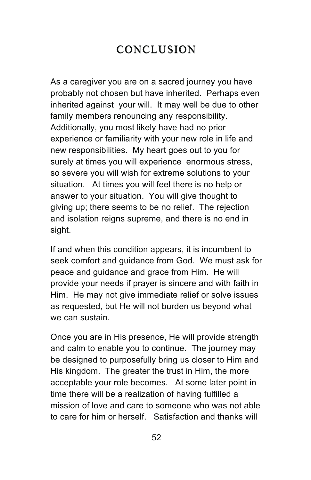# **CONCLUSION**

As a caregiver you are on a sacred journey you have probably not chosen but have inherited. Perhaps even inherited against your will. It may well be due to other family members renouncing any responsibility. Additionally, you most likely have had no prior experience or familiarity with your new role in life and new responsibilities. My heart goes out to you for surely at times you will experience enormous stress, so severe you will wish for extreme solutions to your situation. At times you will feel there is no help or answer to your situation. You will give thought to giving up; there seems to be no relief. The rejection and isolation reigns supreme, and there is no end in sight.

If and when this condition appears, it is incumbent to seek comfort and guidance from God. We must ask for peace and guidance and grace from Him. He will provide your needs if prayer is sincere and with faith in Him. He may not give immediate relief or solve issues as requested, but He will not burden us beyond what we can sustain.

Once you are in His presence, He will provide strength and calm to enable you to continue. The journey may be designed to purposefully bring us closer to Him and His kingdom. The greater the trust in Him, the more acceptable your role becomes. At some later point in time there will be a realization of having fulfilled a mission of love and care to someone who was not able to care for him or herself. Satisfaction and thanks will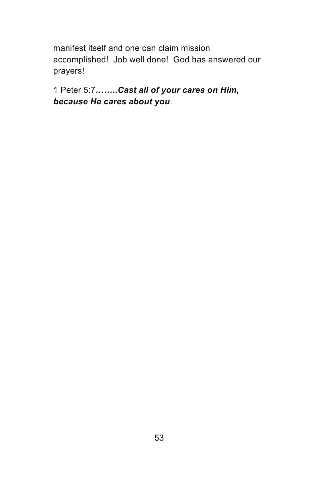manifest itself and one can claim mission accomplished! Job well done! God has answered our prayers!

1 Peter 5:7*……..Cast all of your cares on Him, because He cares about you*.